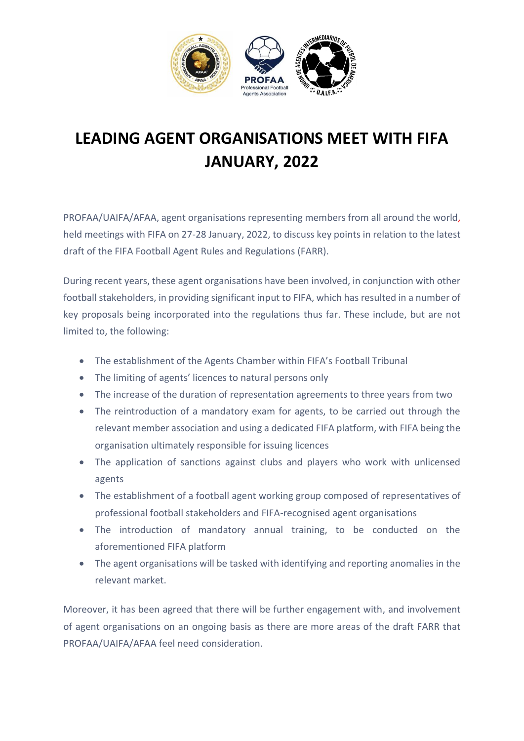

## **LEADING AGENT ORGANISATIONS MEET WITH FIFA JANUARY, 2022**

PROFAA/UAIFA/AFAA, agent organisations representing members from all around the world, held meetings with FIFA on 27-28 January, 2022, to discuss key points in relation to the latest draft of the FIFA Football Agent Rules and Regulations (FARR).

During recent years, these agent organisations have been involved, in conjunction with other football stakeholders, in providing significant input to FIFA, which has resulted in a number of key proposals being incorporated into the regulations thus far. These include, but are not limited to, the following:

- The establishment of the Agents Chamber within FIFA's Football Tribunal
- The limiting of agents' licences to natural persons only
- The increase of the duration of representation agreements to three years from two
- The reintroduction of a mandatory exam for agents, to be carried out through the relevant member association and using a dedicated FIFA platform, with FIFA being the organisation ultimately responsible for issuing licences
- The application of sanctions against clubs and players who work with unlicensed agents
- The establishment of a football agent working group composed of representatives of professional football stakeholders and FIFA-recognised agent organisations
- The introduction of mandatory annual training, to be conducted on the aforementioned FIFA platform
- The agent organisations will be tasked with identifying and reporting anomalies in the relevant market.

Moreover, it has been agreed that there will be further engagement with, and involvement of agent organisations on an ongoing basis as there are more areas of the draft FARR that PROFAA/UAIFA/AFAA feel need consideration.